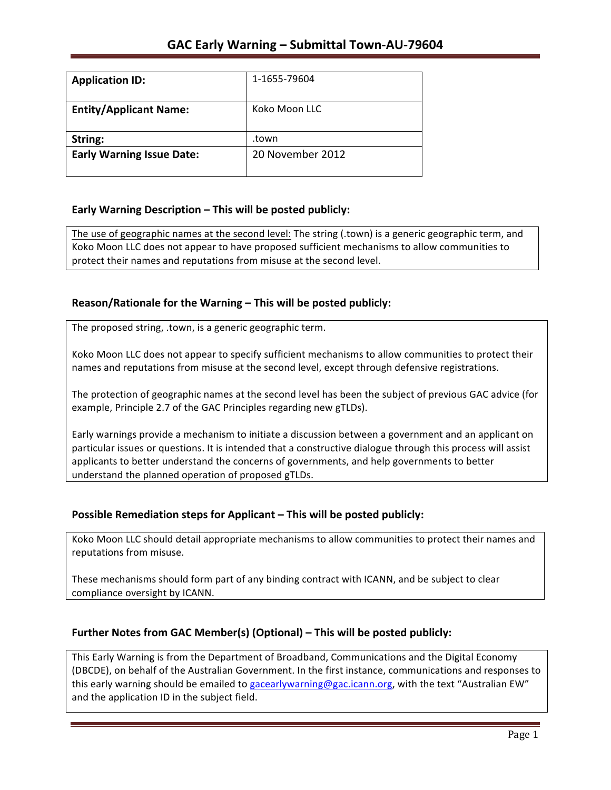| <b>Application ID:</b>           | 1-1655-79604     |
|----------------------------------|------------------|
| <b>Entity/Applicant Name:</b>    | Koko Moon LLC    |
| String:                          | .town            |
| <b>Early Warning Issue Date:</b> | 20 November 2012 |
|                                  |                  |

### **Early Warning Description – This will be posted publicly:**

The use of geographic names at the second level: The string (.town) is a generic geographic term, and Koko Moon LLC does not appear to have proposed sufficient mechanisms to allow communities to protect their names and reputations from misuse at the second level.

## **Reason/Rationale for the Warning – This will be posted publicly:**

The proposed string, .town, is a generic geographic term.

Koko Moon LLC does not appear to specify sufficient mechanisms to allow communities to protect their names and reputations from misuse at the second level, except through defensive registrations.

The protection of geographic names at the second level has been the subject of previous GAC advice (for example, Principle 2.7 of the GAC Principles regarding new gTLDs).

Early warnings provide a mechanism to initiate a discussion between a government and an applicant on particular issues or questions. It is intended that a constructive dialogue through this process will assist applicants to better understand the concerns of governments, and help governments to better understand the planned operation of proposed gTLDs.

### **Possible Remediation steps for Applicant – This will be posted publicly:**

Koko Moon LLC should detail appropriate mechanisms to allow communities to protect their names and reputations from misuse.

These mechanisms should form part of any binding contract with ICANN, and be subject to clear compliance oversight by ICANN.

### **Further Notes from GAC Member(s) (Optional) – This will be posted publicly:**

This Early Warning is from the Department of Broadband, Communications and the Digital Economy (DBCDE), on behalf of the Australian Government. In the first instance, communications and responses to this early warning should be emailed to gacearlywarning@gac.icann.org, with the text "Australian EW" and the application ID in the subject field.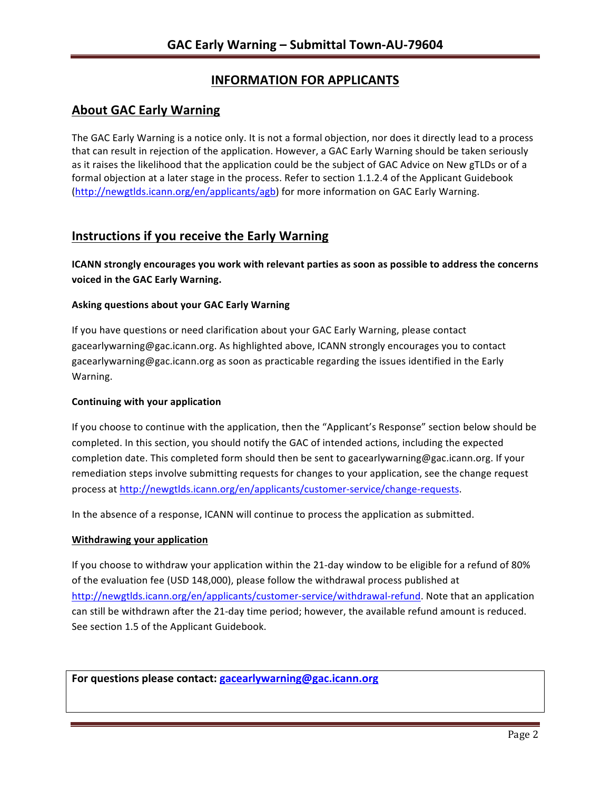# **INFORMATION FOR APPLICANTS**

## **About GAC Early Warning**

The GAC Early Warning is a notice only. It is not a formal objection, nor does it directly lead to a process that can result in rejection of the application. However, a GAC Early Warning should be taken seriously as it raises the likelihood that the application could be the subject of GAC Advice on New gTLDs or of a formal objection at a later stage in the process. Refer to section 1.1.2.4 of the Applicant Guidebook (http://newgtlds.icann.org/en/applicants/agb) for more information on GAC Early Warning.

# **Instructions if you receive the Early Warning**

**ICANN** strongly encourages you work with relevant parties as soon as possible to address the concerns **voiced in the GAC Early Warning.** 

#### **Asking questions about your GAC Early Warning**

If you have questions or need clarification about your GAC Early Warning, please contact gacearlywarning@gac.icann.org. As highlighted above, ICANN strongly encourages you to contact gacearlywarning@gac.icann.org as soon as practicable regarding the issues identified in the Early Warning. 

#### **Continuing with your application**

If you choose to continue with the application, then the "Applicant's Response" section below should be completed. In this section, you should notify the GAC of intended actions, including the expected completion date. This completed form should then be sent to gacearlywarning@gac.icann.org. If your remediation steps involve submitting requests for changes to your application, see the change request process at http://newgtlds.icann.org/en/applicants/customer-service/change-requests.

In the absence of a response, ICANN will continue to process the application as submitted.

#### **Withdrawing your application**

If you choose to withdraw your application within the 21-day window to be eligible for a refund of 80% of the evaluation fee (USD 148,000), please follow the withdrawal process published at http://newgtlds.icann.org/en/applicants/customer-service/withdrawal-refund. Note that an application can still be withdrawn after the 21-day time period; however, the available refund amount is reduced. See section 1.5 of the Applicant Guidebook.

For questions please contact: gacearlywarning@gac.icann.org